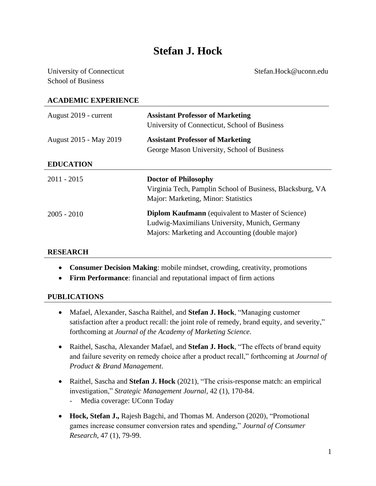# **Stefan J. Hock**

University of Connecticut Stefan.Hock@uconn.edu School of Business

# **ACADEMIC EXPERIENCE** August 2019 - current **Assistant Professor of Marketing** University of Connecticut, School of Business August 2015 - May 2019 **Assistant Professor of Marketing** George Mason University, School of Business **EDUCATION** 2011 - 2015 2005 - 2010 **Doctor of Philosophy** Virginia Tech, Pamplin School of Business, Blacksburg, VA Major: Marketing, Minor: Statistics **Diplom Kaufmann** (equivalent to Master of Science) Ludwig-Maximilians University, Munich, Germany Majors: Marketing and Accounting (double major)

#### **RESEARCH**

- **Consumer Decision Making**: mobile mindset, crowding, creativity, promotions
- **Firm Performance**: financial and reputational impact of firm actions

#### **PUBLICATIONS**

- Mafael, Alexander, Sascha Raithel, and **Stefan J. Hock**, "Managing customer satisfaction after a product recall: the joint role of remedy, brand equity, and severity," forthcoming at *Journal of the Academy of Marketing Science*.
- Raithel, Sascha, Alexander Mafael, and **Stefan J. Hock**, "The effects of brand equity and failure severity on remedy choice after a product recall," forthcoming at *Journal of Product & Brand Management*.
- Raithel, Sascha and **Stefan J. Hock** (2021), "The crisis-response match: an empirical investigation," *Strategic Management Journal,* 42 (1), 170-84.
	- Media coverage: UConn Today
- **Hock, Stefan J.,** Rajesh Bagchi, and Thomas M. Anderson (2020), "Promotional games increase consumer conversion rates and spending," *Journal of Consumer Research*, 47 (1), 79-99.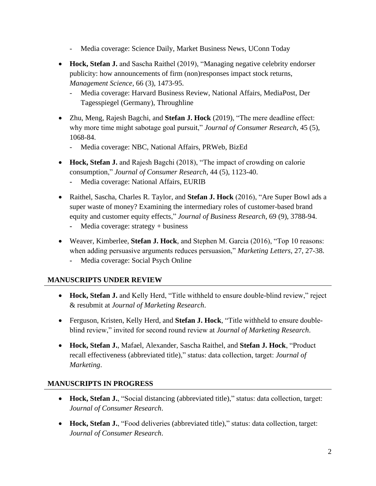- Media coverage: Science Daily, Market Business News, UConn Today
- **Hock, Stefan J.** and Sascha Raithel (2019), "Managing negative celebrity endorser publicity: how announcements of firm (non)responses impact stock returns, *Management Science*, 66 (3), 1473-95.
	- Media coverage: Harvard Business Review, National Affairs, MediaPost, Der Tagesspiegel (Germany), Throughline
- Zhu, Meng, Rajesh Bagchi, and **Stefan J. Hock** (2019), "The mere deadline effect: why more time might sabotage goal pursuit," *Journal of Consumer Research*, 45 (5), 1068-84.
	- Media coverage: NBC, National Affairs, PRWeb, BizEd
- **Hock, Stefan J.** and Rajesh Bagchi (2018), "The impact of crowding on calorie consumption," *Journal of Consumer Research*, 44 (5), 1123-40.
	- **-** Media coverage: National Affairs, EURIB
- Raithel, Sascha, Charles R. Taylor, and **Stefan J. Hock** (2016), "Are Super Bowl ads a super waste of money? Examining the intermediary roles of customer-based brand equity and customer equity effects," *Journal of Business Research*, 69 (9), 3788-94.
	- **-** Media coverage: strategy + business
- Weaver, Kimberlee, **Stefan J. Hock**, and Stephen M. Garcia (2016), "Top 10 reasons: when adding persuasive arguments reduces persuasion," *Marketing Letters*, 27, 27-38.
	- **-** Media coverage: Social Psych Online

# **MANUSCRIPTS UNDER REVIEW**

- Hock, Stefan J. and Kelly Herd, "Title withheld to ensure double-blind review," reject & resubmit at *Journal of Marketing Research*.
- Ferguson, Kristen, Kelly Herd, and **Stefan J. Hock**, "Title withheld to ensure doubleblind review," invited for second round review at *Journal of Marketing Research*.
- **Hock, Stefan J.**, Mafael, Alexander, Sascha Raithel, and **Stefan J. Hock**, "Product recall effectiveness (abbreviated title)," status: data collection, target: *Journal of Marketing*.

# **MANUSCRIPTS IN PROGRESS**

- **Hock, Stefan J.**, "Social distancing (abbreviated title)," status: data collection, target: *Journal of Consumer Research*.
- **Hock, Stefan J.**, "Food deliveries (abbreviated title)," status: data collection, target: *Journal of Consumer Research*.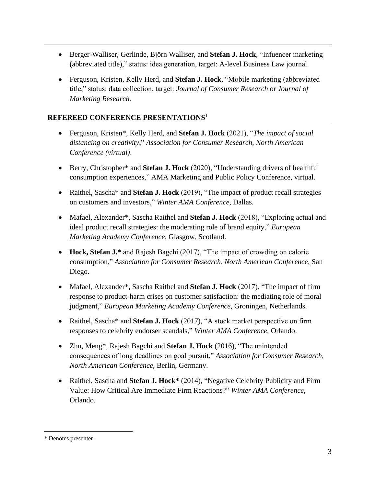- Berger-Walliser, Gerlinde, Björn Walliser, and **Stefan J. Hock**, "Infuencer marketing (abbreviated title)," status: idea generation, target: A-level Business Law journal.
- Ferguson, Kristen, Kelly Herd, and **Stefan J. Hock**, "Mobile marketing (abbreviated title," status: data collection, target: *Journal of Consumer Research* or *Journal of Marketing Research*.

# **REFEREED CONFERENCE PRESENTATIONS**<sup>1</sup>

- Ferguson, Kristen\*, Kelly Herd, and **Stefan J. Hock** (2021), "*The impact of social distancing on creativity*," *Association for Consumer Research, North American Conference (virtual)*.
- Berry, Christopher\* and **Stefan J. Hock** (2020), "Understanding drivers of healthful consumption experiences," AMA Marketing and Public Policy Conference, virtual.
- Raithel, Sascha\* and **Stefan J. Hock** (2019), "The impact of product recall strategies on customers and investors," *Winter AMA Conference*, Dallas.
- Mafael, Alexander\*, Sascha Raithel and **Stefan J. Hock** (2018), "Exploring actual and ideal product recall strategies: the moderating role of brand equity," *European Marketing Academy Conference,* Glasgow, Scotland.
- **Hock, Stefan J.\*** and Rajesh Bagchi (2017), "The impact of crowding on calorie consumption," *Association for Consumer Research, North American Conference*, San Diego.
- Mafael, Alexander\*, Sascha Raithel and **Stefan J. Hock** (2017), "The impact of firm response to product-harm crises on customer satisfaction: the mediating role of moral judgment," *European Marketing Academy Conference,* Groningen, Netherlands.
- Raithel, Sascha\* and **Stefan J. Hock** (2017), "A stock market perspective on firm responses to celebrity endorser scandals," *Winter AMA Conference*, Orlando.
- Zhu, Meng\*, Rajesh Bagchi and **Stefan J. Hock** (2016), "The unintended consequences of long deadlines on goal pursuit," *Association for Consumer Research, North American Conference*, Berlin, Germany.
- Raithel, Sascha and **Stefan J. Hock\*** (2014), "Negative Celebrity Publicity and Firm Value: How Critical Are Immediate Firm Reactions?" *Winter AMA Conference*, Orlando.

<sup>\*</sup> Denotes presenter.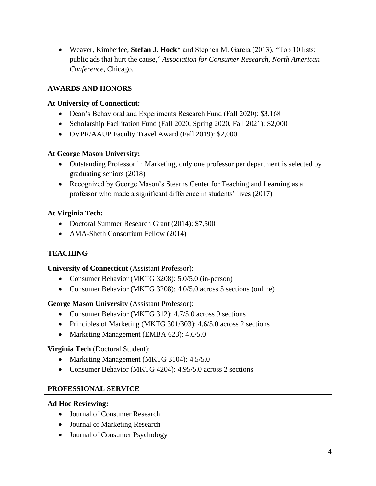• Weaver, Kimberlee, **Stefan J. Hock\*** and Stephen M. Garcia (2013), "Top 10 lists: public ads that hurt the cause," *Association for Consumer Research, North American Conference*, Chicago.

# **AWARDS AND HONORS**

#### **At University of Connecticut:**

- Dean's Behavioral and Experiments Research Fund (Fall 2020): \$3,168
- Scholarship Facilitation Fund (Fall 2020, Spring 2020, Fall 2021): \$2,000
- OVPR/AAUP Faculty Travel Award (Fall 2019): \$2,000

# **At George Mason University:**

- Outstanding Professor in Marketing, only one professor per department is selected by graduating seniors (2018)
- Recognized by George Mason's Stearns Center for Teaching and Learning as a professor who made a significant difference in students' lives (2017)

#### **At Virginia Tech:**

- Doctoral Summer Research Grant (2014): \$7,500
- AMA-Sheth Consortium Fellow (2014)

# **TEACHING**

# **University of Connecticut** (Assistant Professor):

- Consumer Behavior (MKTG 3208): 5.0/5.0 (in-person)
- Consumer Behavior (MKTG 3208): 4.0/5.0 across 5 sections (online)

# **George Mason University** (Assistant Professor):

- Consumer Behavior (MKTG 312): 4.7/5.0 across 9 sections
- Principles of Marketing (MKTG 301/303): 4.6/5.0 across 2 sections
- Marketing Management (EMBA 623): 4.6/5.0

# **Virginia Tech** (Doctoral Student):

- Marketing Management (MKTG 3104): 4.5/5.0
- Consumer Behavior (MKTG 4204): 4.95/5.0 across 2 sections

# **PROFESSIONAL SERVICE**

#### **Ad Hoc Reviewing:**

- Journal of Consumer Research
- Journal of Marketing Research
- Journal of Consumer Psychology